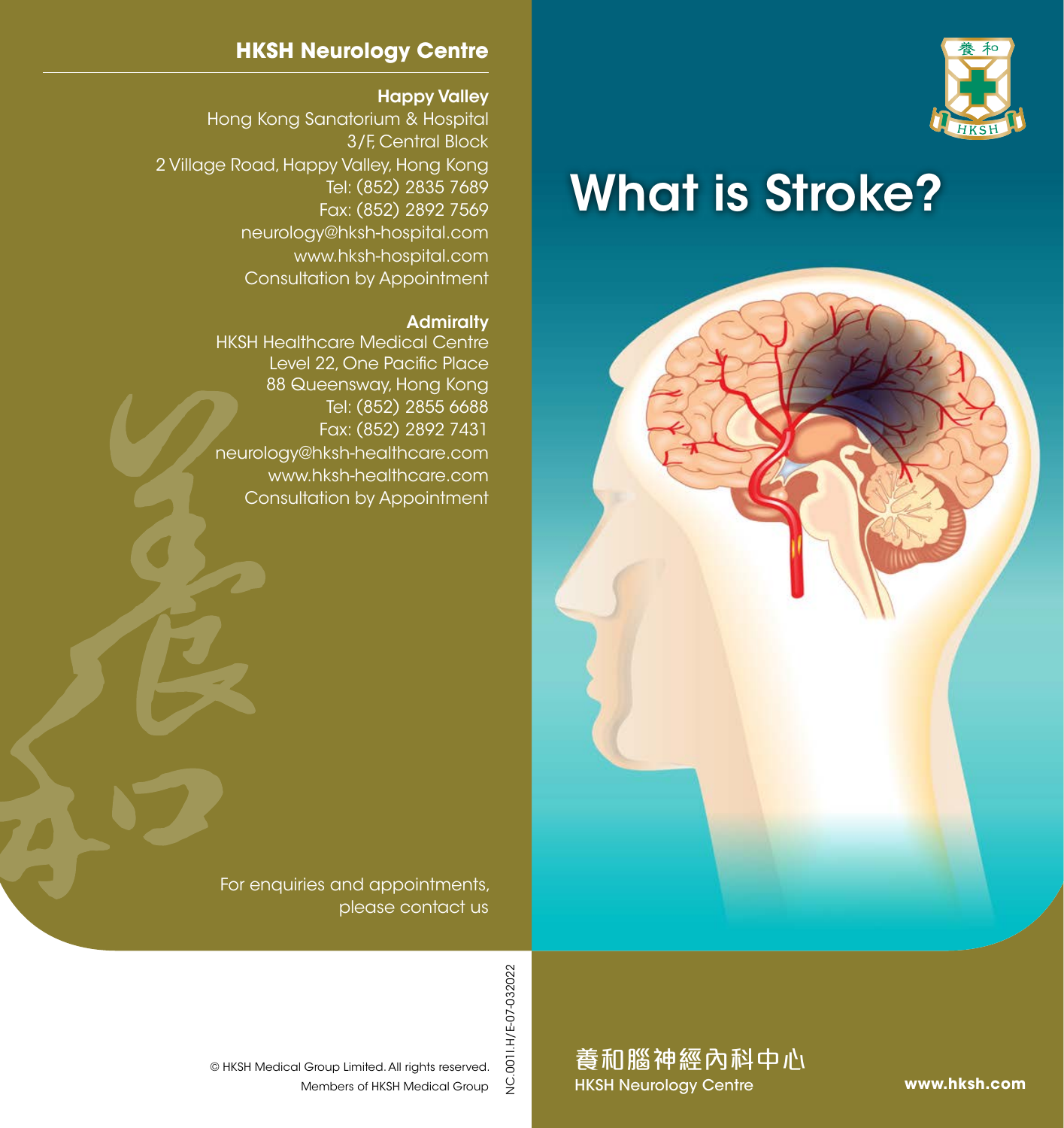

# What is Stroke?



#### **HKSH Neurology Centre**

#### Happy Valley

Hong Kong Sanatorium & Hospital 3/F, Central Block 2 Village Road, Happy Valley, Hong Kong Tel: (852) 2835 7689 Fax: (852) 2892 7569 neurology@hksh-hospital.com www.hksh-hospital.com Consultation by Appointment

#### **Admiralty**

HKSH Healthcare Medical Centre Level 22, One Pacific Place 88 Queensway, Hong Kong Tel: (852) 2855 6688 Fax: (852) 2892 7431 neurology@hksh-healthcare.com www.hksh-healthcare.com Consultation by Appointment

For enquiries and appointments, please contact us

> .0011.H/E-07-032022 NC.001I.H/E-07-032022  $\frac{Q}{Z}$

Members of HKSH Medical Group © HKSH Medical Group Limited. All rights reserved.

養和腦神經內科中心 HKSH Neurology Centre

**www.hksh.com**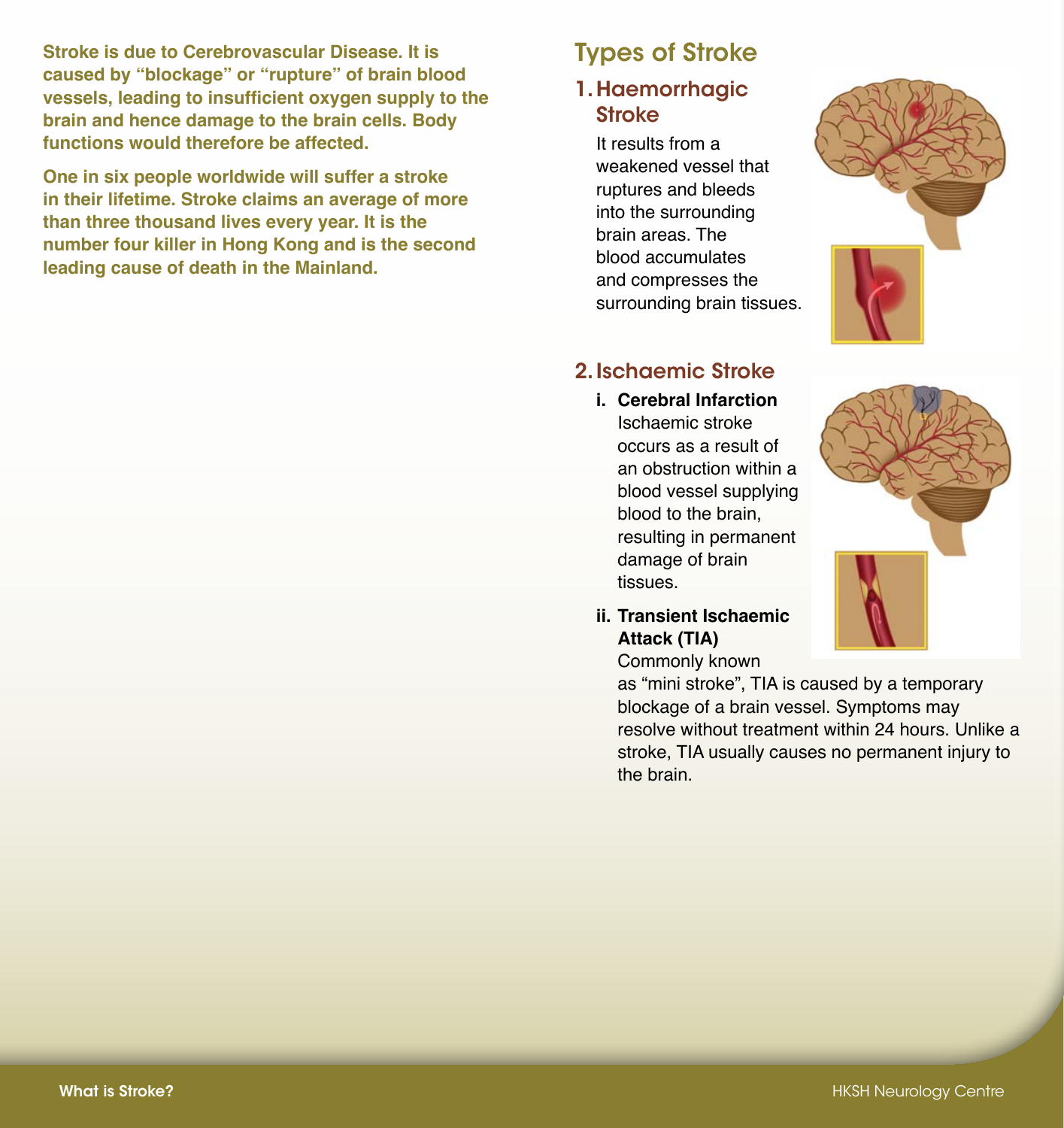**Stroke is due to Cerebrovascular Disease. It is caused by "blockage" or "rupture" of brain blood vessels, leading to insufficient oxygen supply to the brain and hence damage to the brain cells. Body functions would therefore be affected.**

**One in six people worldwide will suffer a stroke in their lifetime. Stroke claims an average of more than three thousand lives every year. It is the number four killer in Hong Kong and is the second leading cause of death in the Mainland.**

### Types of Stroke

#### 1.Haemorrhagic **Stroke**

It results from a weakened vessel that ruptures and bleeds into the surrounding brain areas. The blood accumulates and compresses the surrounding brain tissues.



#### 2.Ischaemic Stroke

- **i. Cerebral Infarction** Ischaemic stroke occurs as a result of an obstruction within a blood vessel supplying blood to the brain, resulting in permanent damage of brain tissues.
- **ii. Transient Ischaemic Attack (TIA)** Commonly known

as "mini stroke", TIA is caused by a temporary blockage of a brain vessel. Symptoms may resolve without treatment within 24 hours. Unlike a stroke, TIA usually causes no permanent injury to the brain.

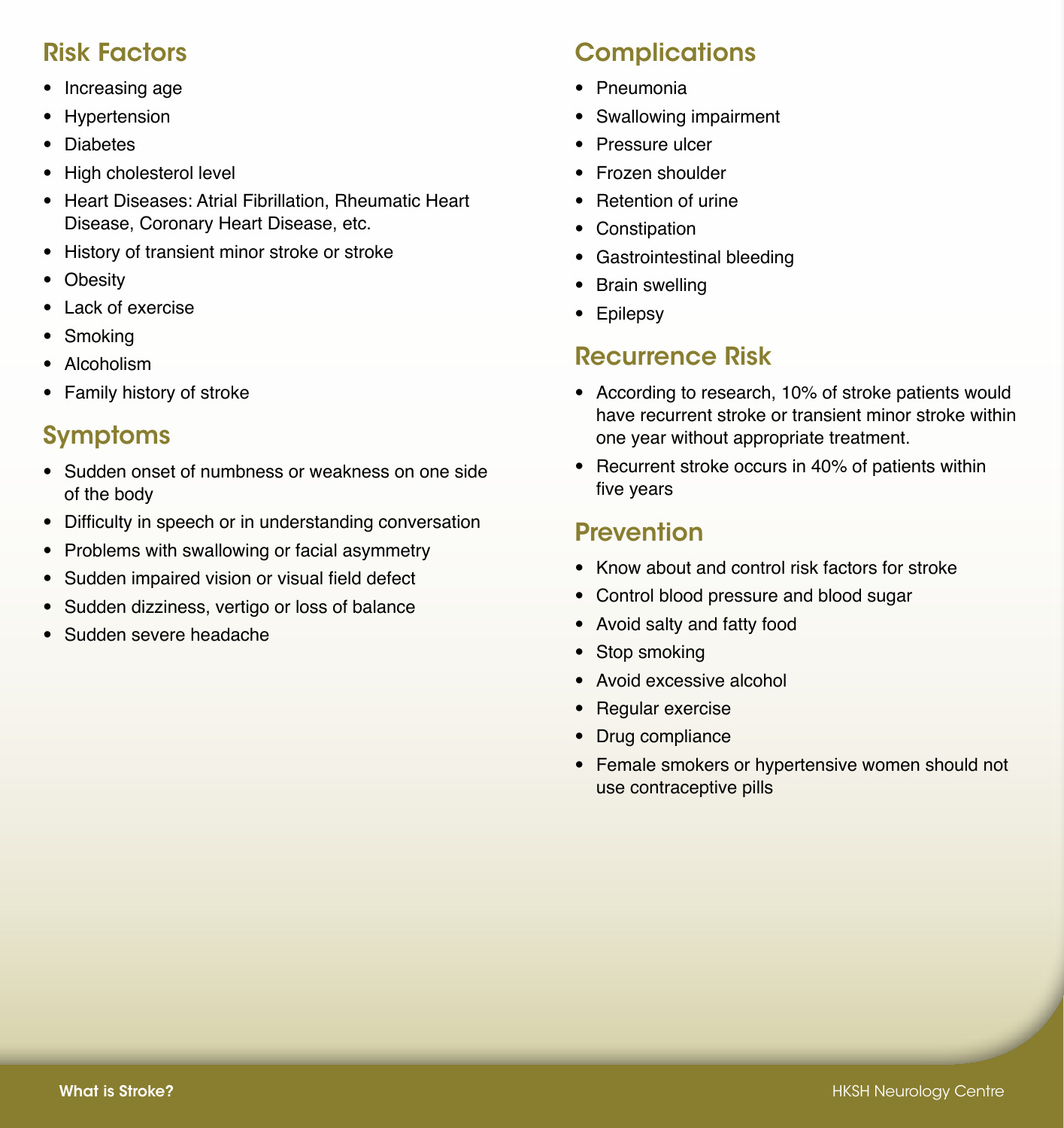#### Risk Factors

- Increasing age
- Hypertension
- Diabetes
- High cholesterol level
- Heart Diseases: Atrial Fibrillation, Rheumatic Heart Disease, Coronary Heart Disease, etc.
- History of transient minor stroke or stroke
- Obesity
- Lack of exercise
- Smoking
- Alcoholism
- Family history of stroke

## Symptoms

- Sudden onset of numbness or weakness on one side of the body
- Difficulty in speech or in understanding conversation
- Problems with swallowing or facial asymmetry
- Sudden impaired vision or visual field defect
- Sudden dizziness, vertigo or loss of balance
- Sudden severe headache

# **Complications**

- Pneumonia
- Swallowing impairment
- Pressure ulcer
- Frozen shoulder
- Retention of urine
- **Constipation**
- Gastrointestinal bleeding
- Brain swelling
- Epilepsy

## Recurrence Risk

- According to research, 10% of stroke patients would have recurrent stroke or transient minor stroke within one year without appropriate treatment.
- Recurrent stroke occurs in 40% of patients within five years

# **Prevention**

- Know about and control risk factors for stroke
- Control blood pressure and blood sugar
- Avoid salty and fatty food
- Stop smoking
- Avoid excessive alcohol
- Regular exercise
- Drug compliance
- Female smokers or hypertensive women should not use contraceptive pills